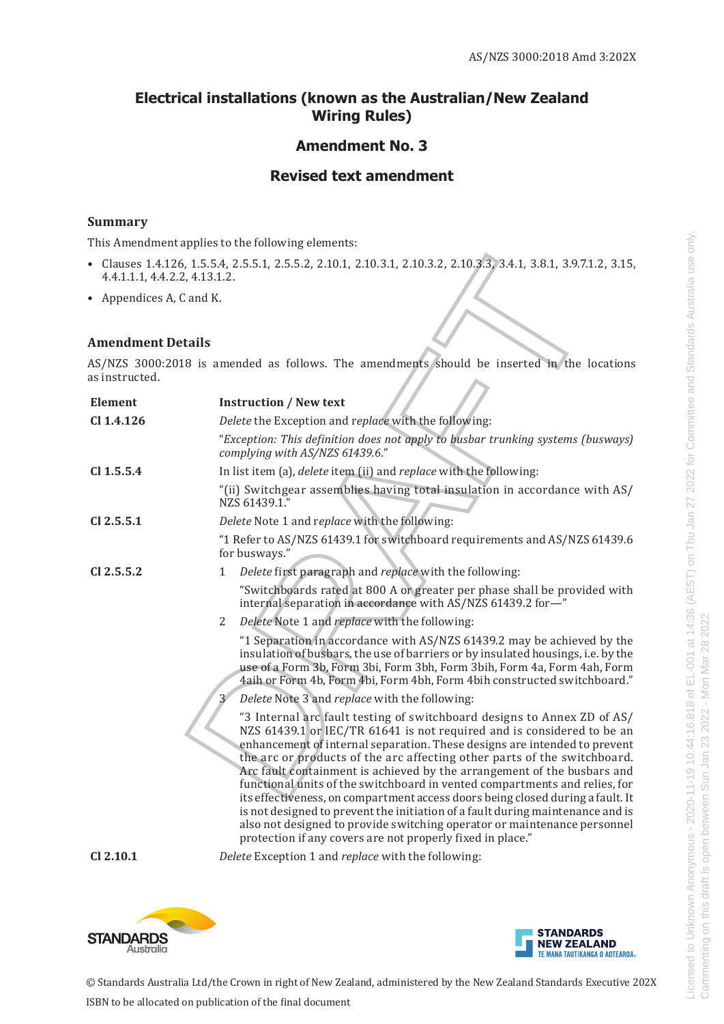### **Electrical installations (known as the Australian/New Zealand Wiring Rules)**

# **Amendment No. 3**

## **Revised text amendment**

### **Summary**

This Amendment applies to the following elements:

- Clauses 1.4.126, 1.5.5.4, 2.5.5.1, 2.5.5.2, 2.10.1, 2.10.3.1, 2.10.3.2, 2.10.3.3, 3.4.1, 3.8.1, 3.9.7.1.2, 3.15, 4.4.1.1.1, 4.4.2.2, 4.13.1.2.
- Appendices A, C and K.

#### **Amendment Details**

| 4.4.1.1.1, 4.4.2.2, 4.13.1.2. | Clauses 1.4.126, 1.5.5.4, 2.5.5.1, 2.5.5.2, 2.10.1, 2.10.3.1, 2.10.3.2, 2.10.3.3, 3.4.1, 3.8.1, 3.9.7.1.2, 3.15,                                                                                                                                                                                                                                                                                                                                                                                                                                                                                                                                                                                                                                                                  |
|-------------------------------|-----------------------------------------------------------------------------------------------------------------------------------------------------------------------------------------------------------------------------------------------------------------------------------------------------------------------------------------------------------------------------------------------------------------------------------------------------------------------------------------------------------------------------------------------------------------------------------------------------------------------------------------------------------------------------------------------------------------------------------------------------------------------------------|
| • Appendices A, C and K.      |                                                                                                                                                                                                                                                                                                                                                                                                                                                                                                                                                                                                                                                                                                                                                                                   |
| <b>Amendment Details</b>      |                                                                                                                                                                                                                                                                                                                                                                                                                                                                                                                                                                                                                                                                                                                                                                                   |
| as instructed.                | AS/NZS 3000:2018 is amended as follows. The amendments should be inserted in the locations                                                                                                                                                                                                                                                                                                                                                                                                                                                                                                                                                                                                                                                                                        |
| <b>Element</b>                | <b>Instruction / New text</b>                                                                                                                                                                                                                                                                                                                                                                                                                                                                                                                                                                                                                                                                                                                                                     |
| Cl 1.4.126                    | Delete the Exception and replace with the following:                                                                                                                                                                                                                                                                                                                                                                                                                                                                                                                                                                                                                                                                                                                              |
|                               | "Exception: This definition does not apply to busbar trunking systems (busways)<br>complying with AS/NZS 61439.6."                                                                                                                                                                                                                                                                                                                                                                                                                                                                                                                                                                                                                                                                |
| $Cl$ 1.5.5.4                  | In list item (a), delete item (ii) and replace with the following:                                                                                                                                                                                                                                                                                                                                                                                                                                                                                                                                                                                                                                                                                                                |
|                               | "(ii) Switchgear assemblies having total insulation in accordance with AS/<br>NZS 61439.1."                                                                                                                                                                                                                                                                                                                                                                                                                                                                                                                                                                                                                                                                                       |
| $Cl$ 2.5.5.1                  | Delete Note 1 and replace with the following:                                                                                                                                                                                                                                                                                                                                                                                                                                                                                                                                                                                                                                                                                                                                     |
|                               | "1 Refer to AS/NZS 61439.1 for switchboard requirements and AS/NZS 61439.6<br>for busways."                                                                                                                                                                                                                                                                                                                                                                                                                                                                                                                                                                                                                                                                                       |
| CI 2.5.5.2                    | Delete first paragraph and replace with the following:<br>1                                                                                                                                                                                                                                                                                                                                                                                                                                                                                                                                                                                                                                                                                                                       |
|                               | "Switchboards rated at 800 A or greater per phase shall be provided with<br>internal separation in accordance with AS/NZS 61439.2 for-"                                                                                                                                                                                                                                                                                                                                                                                                                                                                                                                                                                                                                                           |
|                               | 2<br>Delete Note 1 and replace with the following:                                                                                                                                                                                                                                                                                                                                                                                                                                                                                                                                                                                                                                                                                                                                |
|                               | "1 Separation in accordance with AS/NZS 61439.2 may be achieved by the<br>insulation of busbars, the use of barriers or by insulated housings, i.e. by the<br>use of a Form 3b, Form 3bi, Form 3bh, Form 3bih, Form 4a, Form 4ah, Form<br>4aih or Form 4b, Form 4bi, Form 4bh, Form 4bih constructed switchboard."                                                                                                                                                                                                                                                                                                                                                                                                                                                                |
|                               | Delete Note 3 and replace with the following:                                                                                                                                                                                                                                                                                                                                                                                                                                                                                                                                                                                                                                                                                                                                     |
|                               | "3 Internal arc fault testing of switchboard designs to Annex ZD of AS/<br>NZS 61439.1 or IEC/TR 61641 is not required and is considered to be an<br>enhancement of internal separation. These designs are intended to prevent<br>the arc or products of the arc affecting other parts of the switchboard.<br>Arc fault containment is achieved by the arrangement of the busbars and<br>functional units of the switchboard in vented compartments and relies, for<br>its effectiveness, on compartment access doors being closed during a fault. It<br>is not designed to prevent the initiation of a fault during maintenance and is<br>also not designed to provide switching operator or maintenance personnel<br>protection if any covers are not properly fixed in place." |
| Cl 2.10.1                     | Delete Exception 1 and replace with the following:                                                                                                                                                                                                                                                                                                                                                                                                                                                                                                                                                                                                                                                                                                                                |
|                               |                                                                                                                                                                                                                                                                                                                                                                                                                                                                                                                                                                                                                                                                                                                                                                                   |



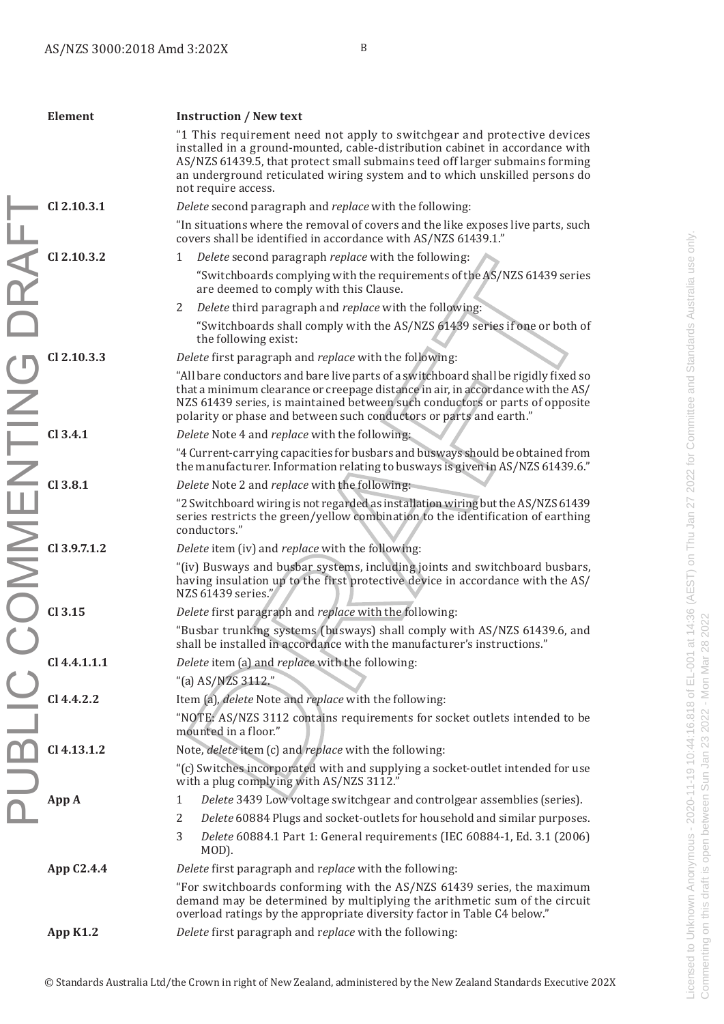|            | Element                                                              | <b>Instruction / New text</b>                                                                                                                                                                                                                                                                                                                |
|------------|----------------------------------------------------------------------|----------------------------------------------------------------------------------------------------------------------------------------------------------------------------------------------------------------------------------------------------------------------------------------------------------------------------------------------|
|            |                                                                      | "1 This requirement need not apply to switchgear and protective devices<br>installed in a ground-mounted, cable-distribution cabinet in accordance with<br>AS/NZS 61439.5, that protect small submains teed off larger submains forming<br>an underground reticulated wiring system and to which unskilled persons do<br>not require access. |
|            | Cl 2.10.3.1                                                          | Delete second paragraph and replace with the following:                                                                                                                                                                                                                                                                                      |
|            |                                                                      | "In situations where the removal of covers and the like exposes live parts, such<br>covers shall be identified in accordance with AS/NZS 61439.1."                                                                                                                                                                                           |
|            | Cl 2.10.3.2                                                          | Delete second paragraph replace with the following:<br>1                                                                                                                                                                                                                                                                                     |
| RA         |                                                                      | "Switchboards complying with the requirements of the AS/NZS 61439 series<br>are deemed to comply with this Clause.                                                                                                                                                                                                                           |
|            |                                                                      | Delete third paragraph and replace with the following:<br>2                                                                                                                                                                                                                                                                                  |
|            |                                                                      | "Switchboards shall comply with the AS/NZS 61439 series if one or both of<br>the following exist:                                                                                                                                                                                                                                            |
|            | CI 2.10.3.3                                                          | Delete first paragraph and replace with the following:                                                                                                                                                                                                                                                                                       |
|            | CO CI2.10.3.3<br>CI 2.10.3.3<br>CI 3.4.1<br>CI 3.8.1<br>CI 3.9.7.1.2 | "All bare conductors and bare live parts of a switchboard shall be rigidly fixed so<br>that a minimum clearance or creepage distance in air, in accordance with the AS/<br>NZS 61439 series, is maintained between such conductors or parts of opposite<br>polarity or phase and between such conductors or parts and earth."                |
|            |                                                                      | Delete Note 4 and replace with the following:                                                                                                                                                                                                                                                                                                |
|            |                                                                      | "4 Current-carrying capacities for busbars and busways should be obtained from<br>the manufacturer. Information relating to busways is given in AS/NZS 61439.6."                                                                                                                                                                             |
|            |                                                                      | Delete Note 2 and replace with the following:                                                                                                                                                                                                                                                                                                |
|            |                                                                      | "2 Switchboard wiring is not regarded as installation wiring but the AS/NZS 61439<br>series restricts the green/yellow combination to the identification of earthing<br>conductors."                                                                                                                                                         |
|            |                                                                      | Delete item (iv) and replace with the following:                                                                                                                                                                                                                                                                                             |
|            |                                                                      | "(iv) Busways and busbar systems, including joints and switchboard busbars,<br>having insulation up to the first protective device in accordance with the AS/<br>NZS 61439 series."                                                                                                                                                          |
|            | $Cl$ 3.15                                                            | Delete first paragraph and replace with the following:                                                                                                                                                                                                                                                                                       |
|            |                                                                      | "Busbar trunking systems (busways) shall comply with AS/NZS 61439.6, and<br>shall be installed in accordance with the manufacturer's instructions."                                                                                                                                                                                          |
|            | $Cl$ 4.4.1.1.1                                                       | Delete item (a) and replace with the following:                                                                                                                                                                                                                                                                                              |
|            |                                                                      | "(a) AS/NZS 3112."                                                                                                                                                                                                                                                                                                                           |
|            | $Cl$ 4.4.2.2                                                         | Item (a), delete Note and replace with the following:                                                                                                                                                                                                                                                                                        |
|            |                                                                      | "NOTE: AS/NZS 3112 contains requirements for socket outlets intended to be<br>mounted in a floor."                                                                                                                                                                                                                                           |
|            | Cl 4.13.1.2                                                          | Note, delete item (c) and replace with the following:                                                                                                                                                                                                                                                                                        |
| <b>ISN</b> |                                                                      | "(c) Switches incorporated with and supplying a socket-outlet intended for use<br>with a plug complying with AS/NZS 3112."                                                                                                                                                                                                                   |
|            | App A                                                                | Delete 3439 Low voltage switchgear and controlgear assemblies (series).<br>1                                                                                                                                                                                                                                                                 |
|            |                                                                      | Delete 60884 Plugs and socket-outlets for household and similar purposes.<br>2                                                                                                                                                                                                                                                               |
|            |                                                                      | 3<br>Delete 60884.1 Part 1: General requirements (IEC 60884-1, Ed. 3.1 (2006)<br>MOD).                                                                                                                                                                                                                                                       |
|            | App C2.4.4                                                           | Delete first paragraph and replace with the following:                                                                                                                                                                                                                                                                                       |
|            |                                                                      | "For switchboards conforming with the AS/NZS 61439 series, the maximum<br>demand may be determined by multiplying the arithmetic sum of the circuit<br>overload ratings by the appropriate diversity factor in Table C4 below."                                                                                                              |
|            | <b>App K1.2</b>                                                      | Delete first paragraph and replace with the following:                                                                                                                                                                                                                                                                                       |